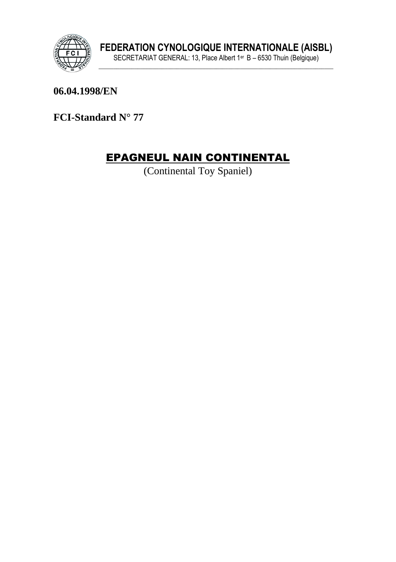

06.04.1998/EN

FCI-Standard N° 77

# **EPAGNEUL NAIN CONTINENTAL**

(Continental Toy Spaniel)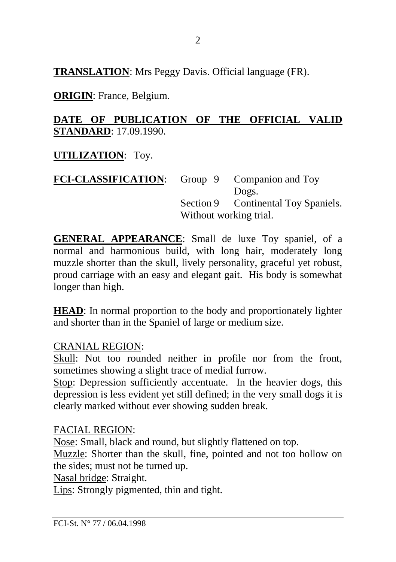**TRANSLATION**: Mrs Peggy Davis. Official language (FR).

**ORIGIN**: France, Belgium.

### **DATE OF PUBLICATION OF THE OFFICIAL VALID STANDARD**: 17.09.1990.

**UTILIZATION**: Toy.

| <b>FCI-CLASSIFICATION:</b> |                        | Group 9 Companion and Toy           |
|----------------------------|------------------------|-------------------------------------|
|                            |                        | Dogs.                               |
|                            |                        | Section 9 Continental Toy Spaniels. |
|                            | Without working trial. |                                     |
|                            |                        |                                     |

**GENERAL APPEARANCE**: Small de luxe Toy spaniel, of a normal and harmonious build, with long hair, moderately long muzzle shorter than the skull, lively personality, graceful yet robust, proud carriage with an easy and elegant gait. His body is somewhat longer than high.

**HEAD**: In normal proportion to the body and proportionately lighter and shorter than in the Spaniel of large or medium size.

CRANIAL REGION:

Skull: Not too rounded neither in profile nor from the front, sometimes showing a slight trace of medial furrow.

Stop: Depression sufficiently accentuate. In the heavier dogs, this depression is less evident yet still defined; in the very small dogs it is clearly marked without ever showing sudden break.

FACIAL REGION:

Nose: Small, black and round, but slightly flattened on top.

Muzzle: Shorter than the skull, fine, pointed and not too hollow on the sides; must not be turned up.

Nasal bridge: Straight.

Lips: Strongly pigmented, thin and tight.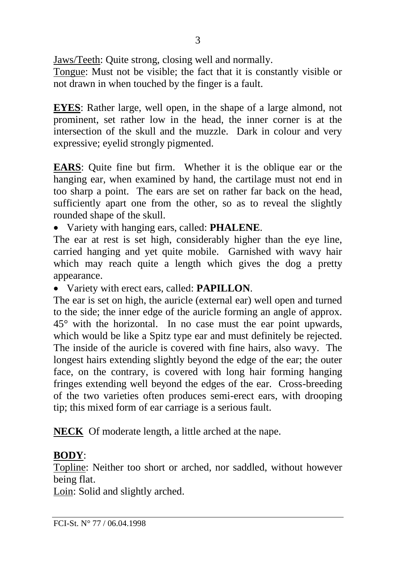Jaws/Teeth: Quite strong, closing well and normally.

Tongue: Must not be visible; the fact that it is constantly visible or not drawn in when touched by the finger is a fault.

**EYES**: Rather large, well open, in the shape of a large almond, not prominent, set rather low in the head, the inner corner is at the intersection of the skull and the muzzle. Dark in colour and very expressive; eyelid strongly pigmented.

**EARS**: Quite fine but firm. Whether it is the oblique ear or the hanging ear, when examined by hand, the cartilage must not end in too sharp a point. The ears are set on rather far back on the head, sufficiently apart one from the other, so as to reveal the slightly rounded shape of the skull.

• Variety with hanging ears, called: **PHALENE**.

The ear at rest is set high, considerably higher than the eye line. carried hanging and yet quite mobile. Garnished with wavy hair which may reach quite a length which gives the dog a pretty appearance.

• Variety with erect ears, called: **PAPILLON**.

The ear is set on high, the auricle (external ear) well open and turned to the side; the inner edge of the auricle forming an angle of approx. 45° with the horizontal. In no case must the ear point upwards, which would be like a Spitz type ear and must definitely be rejected. The inside of the auricle is covered with fine hairs, also wavy. The longest hairs extending slightly beyond the edge of the ear; the outer face, on the contrary, is covered with long hair forming hanging fringes extending well beyond the edges of the ear. Cross-breeding of the two varieties often produces semi-erect ears, with drooping tip; this mixed form of ear carriage is a serious fault.

**NECK** Of moderate length, a little arched at the nape.

### **BODY**:

Topline: Neither too short or arched, nor saddled, without however being flat.

Loin: Solid and slightly arched.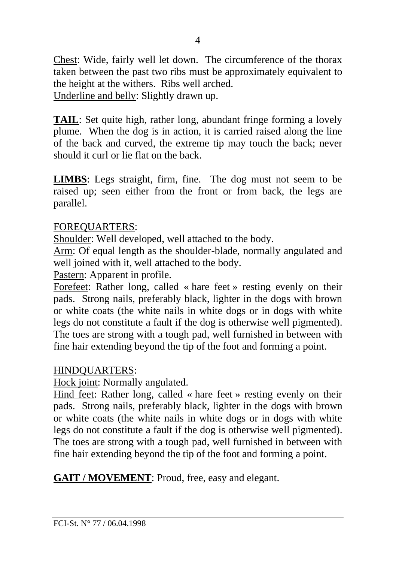Chest: Wide, fairly well let down. The circumference of the thorax taken between the past two ribs must be approximately equivalent to the height at the withers. Ribs well arched. Underline and belly: Slightly drawn up.

**TAIL:** Set quite high, rather long, abundant fringe forming a lovely plume. When the dog is in action, it is carried raised along the line of the back and curved, the extreme tip may touch the back; never should it curl or lie flat on the back.

**LIMBS**: Legs straight, firm, fine. The dog must not seem to be raised up; seen either from the front or from back, the legs are parallel.

#### FOREQUARTERS:

Shoulder: Well developed, well attached to the body.

Arm: Of equal length as the shoulder-blade, normally angulated and well joined with it, well attached to the body.

Pastern: Apparent in profile.

Forefeet: Rather long, called « hare feet » resting evenly on their pads. Strong nails, preferably black, lighter in the dogs with brown or white coats (the white nails in white dogs or in dogs with white legs do not constitute a fault if the dog is otherwise well pigmented). The toes are strong with a tough pad, well furnished in between with fine hair extending beyond the tip of the foot and forming a point.

#### HINDQUARTERS:

Hock joint: Normally angulated.

Hind feet: Rather long, called « hare feet » resting evenly on their pads. Strong nails, preferably black, lighter in the dogs with brown or white coats (the white nails in white dogs or in dogs with white legs do not constitute a fault if the dog is otherwise well pigmented). The toes are strong with a tough pad, well furnished in between with fine hair extending beyond the tip of the foot and forming a point.

**GAIT / MOVEMENT**: Proud, free, easy and elegant.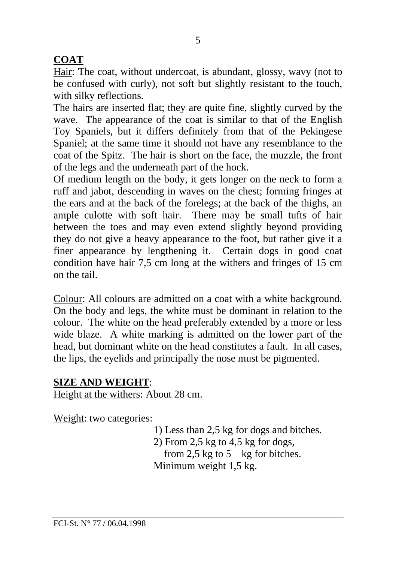## **COAT**

Hair: The coat, without undercoat, is abundant, glossy, wavy (not to be confused with curly), not soft but slightly resistant to the touch, with silky reflections.

The hairs are inserted flat; they are quite fine, slightly curved by the wave. The appearance of the coat is similar to that of the English Toy Spaniels, but it differs definitely from that of the Pekingese Spaniel; at the same time it should not have any resemblance to the coat of the Spitz. The hair is short on the face, the muzzle, the front of the legs and the underneath part of the hock.

Of medium length on the body, it gets longer on the neck to form a ruff and jabot, descending in waves on the chest; forming fringes at the ears and at the back of the forelegs; at the back of the thighs, an ample culotte with soft hair. There may be small tufts of hair between the toes and may even extend slightly beyond providing they do not give a heavy appearance to the foot, but rather give it a finer appearance by lengthening it. Certain dogs in good coat condition have hair 7,5 cm long at the withers and fringes of 15 cm on the tail.

Colour: All colours are admitted on a coat with a white background. On the body and legs, the white must be dominant in relation to the colour. The white on the head preferably extended by a more or less wide blaze. A white marking is admitted on the lower part of the head, but dominant white on the head constitutes a fault. In all cases, the lips, the eyelids and principally the nose must be pigmented.

### **SIZE AND WEIGHT**:

Height at the withers: About 28 cm.

Weight: two categories:

1) Less than 2,5 kg for dogs and bitches.

2) From 2,5 kg to 4,5 kg for dogs, from 2,5 kg to 5 kg for bitches. Minimum weight 1,5 kg.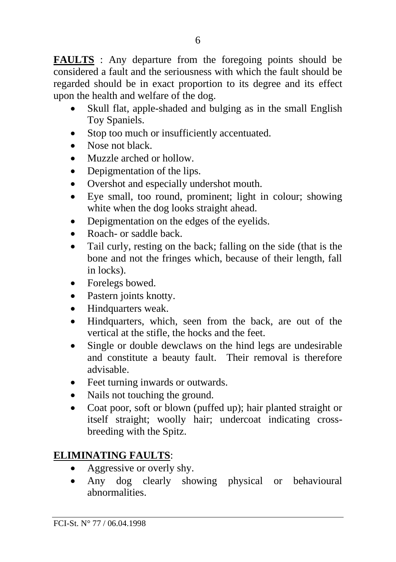**FAULTS** : Any departure from the foregoing points should be considered a fault and the seriousness with which the fault should be regarded should be in exact proportion to its degree and its effect upon the health and welfare of the dog.

- Skull flat, apple-shaded and bulging as in the small English Toy Spaniels.
- Stop too much or insufficiently accentuated.
- Nose not black.
- Muzzle arched or hollow.
- Depigmentation of the lips.
- Overshot and especially undershot mouth.
- Eye small, too round, prominent; light in colour; showing white when the dog looks straight ahead.
- Depigmentation on the edges of the eyelids.
- Roach- or saddle back.
- Tail curly, resting on the back; falling on the side (that is the bone and not the fringes which, because of their length, fall in locks).
- Forelegs bowed.
- Pastern joints knotty.
- Hindquarters weak.
- Hindquarters, which, seen from the back, are out of the vertical at the stifle, the hocks and the feet.
- Single or double dewclaws on the hind legs are undesirable and constitute a beauty fault. Their removal is therefore advisable.
- Feet turning inwards or outwards.
- Nails not touching the ground.
- Coat poor, soft or blown (puffed up); hair planted straight or itself straight; woolly hair; undercoat indicating crossbreeding with the Spitz.

### **ELIMINATING FAULTS**:

- Aggressive or overly shy.
- Any dog clearly showing physical or behavioural abnormalities.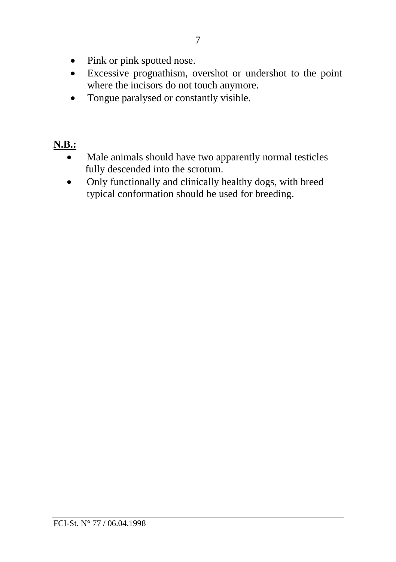- Pink or pink spotted nose.
- Excessive prognathism, overshot or undershot to the point where the incisors do not touch anymore.
- Tongue paralysed or constantly visible.

# **N.B.:**

- Male animals should have two apparently normal testicles fully descended into the scrotum.
- Only functionally and clinically healthy dogs, with breed typical conformation should be used for breeding.